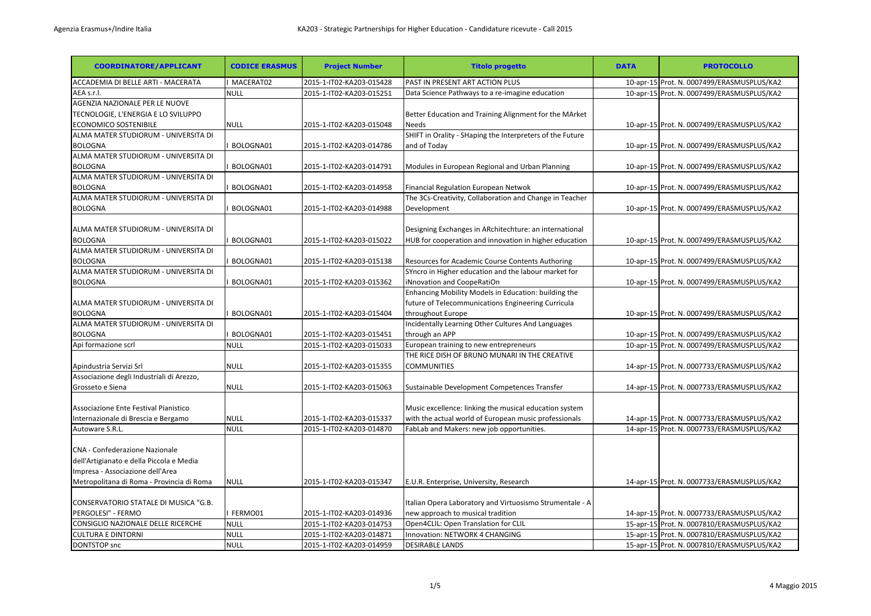| <b>COORDINATORE/APPLICANT</b>             | <b>CODICE ERASMUS</b> | <b>Project Number</b>    | <b>Titolo progetto</b>                                    | <b>DATA</b> | <b>PROTOCOLLO</b>                          |
|-------------------------------------------|-----------------------|--------------------------|-----------------------------------------------------------|-------------|--------------------------------------------|
| ACCADEMIA DI BELLE ARTI - MACERATA        | MACERAT02             | 2015-1-IT02-KA203-015428 | PAST IN PRESENT ART ACTION PLUS                           |             | 10-apr-15 Prot. N. 0007499/ERASMUSPLUS/KA2 |
| AEA s.r.l.                                | NULL                  | 2015-1-IT02-KA203-015251 | Data Science Pathways to a re-imagine education           |             | 10-apr-15 Prot. N. 0007499/ERASMUSPLUS/KA2 |
| AGENZIA NAZIONALE PER LE NUOVE            |                       |                          |                                                           |             |                                            |
| TECNOLOGIE, L'ENERGIA E LO SVILUPPO       |                       |                          | Better Education and Training Alignment for the MArket    |             |                                            |
| <b>ECONOMICO SOSTENIBILE</b>              | <b>NULL</b>           | 2015-1-IT02-KA203-015048 | Needs                                                     |             | 10-apr-15 Prot. N. 0007499/ERASMUSPLUS/KA2 |
| ALMA MATER STUDIORUM - UNIVERSITA DI      |                       |                          | SHIFT in Orality - SHaping the Interpreters of the Future |             |                                            |
| <b>BOLOGNA</b>                            | BOLOGNA01             | 2015-1-IT02-KA203-014786 | and of Today                                              |             | 10-apr-15 Prot. N. 0007499/ERASMUSPLUS/KA2 |
| ALMA MATER STUDIORUM - UNIVERSITA DI      |                       |                          |                                                           |             |                                            |
| <b>BOLOGNA</b>                            | BOLOGNA01             | 2015-1-IT02-KA203-014791 | Modules in European Regional and Urban Planning           |             | 10-apr-15 Prot. N. 0007499/ERASMUSPLUS/KA2 |
| ALMA MATER STUDIORUM - UNIVERSITA DI      |                       |                          |                                                           |             |                                            |
| <b>BOLOGNA</b>                            | BOLOGNA01             | 2015-1-IT02-KA203-014958 | Financial Regulation European Netwok                      |             | 10-apr-15 Prot. N. 0007499/ERASMUSPLUS/KA2 |
| ALMA MATER STUDIORUM - UNIVERSITA DI      |                       |                          | The 3Cs-Creativity, Collaboration and Change in Teacher   |             |                                            |
| <b>BOLOGNA</b>                            | BOLOGNA01             | 2015-1-IT02-KA203-014988 | Development                                               |             | 10-apr-15 Prot. N. 0007499/ERASMUSPLUS/KA2 |
|                                           |                       |                          |                                                           |             |                                            |
| ALMA MATER STUDIORUM - UNIVERSITA DI      |                       |                          | Designing Exchanges in ARchitechture: an international    |             |                                            |
| <b>BOLOGNA</b>                            | BOLOGNA01             | 2015-1-IT02-KA203-015022 | HUB for cooperation and innovation in higher education    |             | 10-apr-15 Prot. N. 0007499/ERASMUSPLUS/KA2 |
| ALMA MATER STUDIORUM - UNIVERSITA DI      |                       |                          |                                                           |             |                                            |
| <b>BOLOGNA</b>                            | BOLOGNA01             | 2015-1-IT02-KA203-015138 | Resources for Academic Course Contents Authoring          |             | 10-apr-15 Prot. N. 0007499/ERASMUSPLUS/KA2 |
| ALMA MATER STUDIORUM - UNIVERSITA DI      |                       |                          | SYncro in Higher education and the labour market for      |             |                                            |
| <b>BOLOGNA</b>                            | BOLOGNA01             | 2015-1-IT02-KA203-015362 | iNnovation and CoopeRatiOn                                |             | 10-apr-15 Prot. N. 0007499/ERASMUSPLUS/KA2 |
|                                           |                       |                          | Enhancing Mobility Models in Education: building the      |             |                                            |
| ALMA MATER STUDIORUM - UNIVERSITA DI      |                       |                          | future of Telecommunications Engineering Curricula        |             |                                            |
| <b>BOLOGNA</b>                            | BOLOGNA01             | 2015-1-IT02-KA203-015404 | throughout Europe                                         |             | 10-apr-15 Prot. N. 0007499/ERASMUSPLUS/KA2 |
| ALMA MATER STUDIORUM - UNIVERSITA DI      |                       |                          | Incidentally Learning Other Cultures And Languages        |             |                                            |
| <b>BOLOGNA</b>                            | BOLOGNA01             | 2015-1-IT02-KA203-015451 | through an APP                                            |             | 10-apr-15 Prot. N. 0007499/ERASMUSPLUS/KA2 |
| Api formazione scrl                       | NULL                  | 2015-1-IT02-KA203-015033 | European training to new entrepreneurs                    |             | 10-apr-15 Prot. N. 0007499/ERASMUSPLUS/KA2 |
|                                           |                       |                          | THE RICE DISH OF BRUNO MUNARI IN THE CREATIVE             |             |                                            |
| Apindustria Servizi Srl                   | <b>NULL</b>           | 2015-1-IT02-KA203-015355 | <b>COMMUNITIES</b>                                        |             | 14-apr-15 Prot. N. 0007733/ERASMUSPLUS/KA2 |
| Associazione degli Industriali di Arezzo, |                       |                          |                                                           |             |                                            |
| Grosseto e Siena                          | <b>NULL</b>           | 2015-1-IT02-KA203-015063 | Sustainable Development Competences Transfer              |             | 14-apr-15 Prot. N. 0007733/ERASMUSPLUS/KA2 |
|                                           |                       |                          |                                                           |             |                                            |
| Associazione Ente Festival Pianistico     |                       |                          | Music excellence: linking the musical education system    |             |                                            |
| Internazionale di Brescia e Bergamo       | <b>NULL</b>           | 2015-1-IT02-KA203-015337 | with the actual world of European music professionals     |             | 14-apr-15 Prot. N. 0007733/ERASMUSPLUS/KA2 |
| Autoware S.R.L.                           | <b>NULL</b>           | 2015-1-IT02-KA203-014870 | FabLab and Makers: new job opportunities.                 |             | 14-apr-15 Prot. N. 0007733/ERASMUSPLUS/KA2 |
|                                           |                       |                          |                                                           |             |                                            |
| CNA - Confederazione Nazionale            |                       |                          |                                                           |             |                                            |
| dell'Artigianato e della Piccola e Media  |                       |                          |                                                           |             |                                            |
| Impresa - Associazione dell'Area          |                       |                          |                                                           |             |                                            |
| Metropolitana di Roma - Provincia di Roma | <b>NULL</b>           | 2015-1-IT02-KA203-015347 | E.U.R. Enterprise, University, Research                   |             | 14-apr-15 Prot. N. 0007733/ERASMUSPLUS/KA2 |
|                                           |                       |                          |                                                           |             |                                            |
| CONSERVATORIO STATALE DI MUSICA "G.B.     |                       |                          | Italian Opera Laboratory and Virtuosismo Strumentale - A  |             |                                            |
| PERGOLESI" - FERMO                        | FERMO01               | 2015-1-IT02-KA203-014936 | new approach to musical tradition                         |             | 14-apr-15 Prot. N. 0007733/ERASMUSPLUS/KA2 |
| CONSIGLIO NAZIONALE DELLE RICERCHE        | <b>NULL</b>           | 2015-1-IT02-KA203-014753 | Open4CLIL: Open Translation for CLIL                      |             | 15-apr-15 Prot. N. 0007810/ERASMUSPLUS/KA2 |
| <b>CULTURA E DINTORNI</b>                 | NULL                  | 2015-1-IT02-KA203-014871 | Innovation: NETWORK 4 CHANGING                            |             | 15-apr-15 Prot. N. 0007810/ERASMUSPLUS/KA2 |
| <b>DONTSTOP</b> snc                       | <b>NULL</b>           | 2015-1-IT02-KA203-014959 | <b>DESIRABLE LANDS</b>                                    |             | 15-apr-15 Prot. N. 0007810/ERASMUSPLUS/KA2 |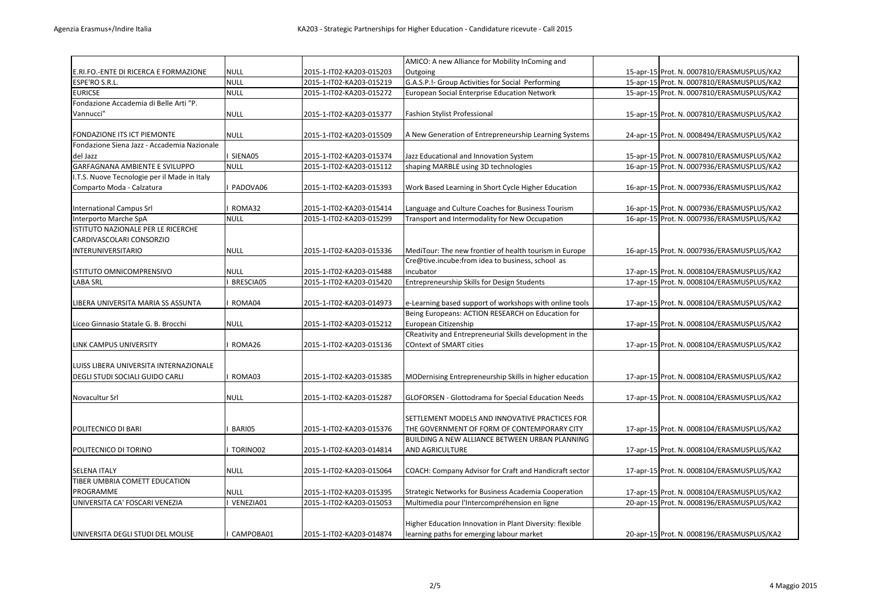|                                              |             |                          | AMICO: A new Alliance for Mobility InComing and            |                                            |
|----------------------------------------------|-------------|--------------------------|------------------------------------------------------------|--------------------------------------------|
| E.RI.FO.-ENTE DI RICERCA E FORMAZIONE        | <b>NULL</b> | 2015-1-IT02-KA203-015203 | Outgoing                                                   | 15-apr-15 Prot. N. 0007810/ERASMUSPLUS/KA2 |
| ESPE'RO S.R.L.                               | <b>NULL</b> | 2015-1-IT02-KA203-015219 | G.A.S.P.!- Group Activities for Social Performing          | 15-apr-15 Prot. N. 0007810/ERASMUSPLUS/KA2 |
| EURICSE                                      | <b>NULL</b> | 2015-1-IT02-KA203-015272 | <b>European Social Enterprise Education Network</b>        | 15-apr-15 Prot. N. 0007810/ERASMUSPLUS/KA2 |
| Fondazione Accademia di Belle Arti "P.       |             |                          |                                                            |                                            |
| Vannucci"                                    | <b>NULL</b> | 2015-1-IT02-KA203-015377 | <b>Fashion Stylist Professional</b>                        | 15-apr-15 Prot. N. 0007810/ERASMUSPLUS/KA2 |
|                                              |             |                          |                                                            |                                            |
| FONDAZIONE ITS ICT PIEMONTE                  | <b>NULL</b> | 2015-1-IT02-KA203-015509 | A New Generation of Entrepreneurship Learning Systems      | 24-apr-15 Prot. N. 0008494/ERASMUSPLUS/KA2 |
| Fondazione Siena Jazz - Accademia Nazionale  |             |                          |                                                            |                                            |
| del Jazz                                     | SIENA05     | 2015-1-IT02-KA203-015374 | Jazz Educational and Innovation System                     | 15-apr-15 Prot. N. 0007810/ERASMUSPLUS/KA2 |
| GARFAGNANA AMBIENTE E SVILUPPO               | <b>NULL</b> | 2015-1-IT02-KA203-015112 | shaping MARBLE using 3D technologies                       | 16-apr-15 Prot. N. 0007936/ERASMUSPLUS/KA2 |
| I.T.S. Nuove Tecnologie per il Made in Italy |             |                          |                                                            |                                            |
| Comparto Moda - Calzatura                    | PADOVA06    | 2015-1-IT02-KA203-015393 | Work Based Learning in Short Cycle Higher Education        | 16-apr-15 Prot. N. 0007936/ERASMUSPLUS/KA2 |
|                                              |             |                          |                                                            |                                            |
| <b>International Campus Srl</b>              | ROMA32      | 2015-1-IT02-KA203-015414 | Language and Culture Coaches for Business Tourism          | 16-apr-15 Prot. N. 0007936/ERASMUSPLUS/KA2 |
| Interporto Marche SpA                        | <b>NULL</b> | 2015-1-IT02-KA203-015299 | Transport and Intermodality for New Occupation             | 16-apr-15 Prot. N. 0007936/ERASMUSPLUS/KA2 |
| ISTITUTO NAZIONALE PER LE RICERCHE           |             |                          |                                                            |                                            |
| CARDIVASCOLARI CONSORZIO                     |             |                          |                                                            |                                            |
| INTERUNIVERSITARIO                           | <b>NULL</b> | 2015-1-IT02-KA203-015336 | MediTour: The new frontier of health tourism in Europe     | 16-apr-15 Prot. N. 0007936/ERASMUSPLUS/KA2 |
|                                              |             |                          | Cre@tive.incube:from idea to business, school as           |                                            |
| ISTITUTO OMNICOMPRENSIVO                     | <b>NULL</b> | 2015-1-IT02-KA203-015488 | incubator                                                  | 17-apr-15 Prot. N. 0008104/ERASMUSPLUS/KA2 |
| LABA SRL                                     | BRESCIA05   | 2015-1-IT02-KA203-015420 | Entrepreneurship Skills for Design Students                | 17-apr-15 Prot. N. 0008104/ERASMUSPLUS/KA2 |
|                                              |             |                          |                                                            |                                            |
| LIBERA UNIVERSITA MARIA SS ASSUNTA           | ROMA04      | 2015-1-IT02-KA203-014973 | e-Learning based support of workshops with online tools    | 17-apr-15 Prot. N. 0008104/ERASMUSPLUS/KA2 |
|                                              |             |                          | Being Europeans: ACTION RESEARCH on Education for          |                                            |
| Liceo Ginnasio Statale G. B. Brocchi         | <b>NULL</b> | 2015-1-IT02-KA203-015212 | European Citizenship                                       | 17-apr-15 Prot. N. 0008104/ERASMUSPLUS/KA2 |
|                                              |             |                          | CReativity and Entrepreneurial Skills development in the   |                                            |
| LINK CAMPUS UNIVERSITY                       | ROMA26      | 2015-1-IT02-KA203-015136 | <b>COntext of SMART cities</b>                             | 17-apr-15 Prot. N. 0008104/ERASMUSPLUS/KA2 |
|                                              |             |                          |                                                            |                                            |
| LUISS LIBERA UNIVERSITA INTERNAZIONALE       |             |                          |                                                            |                                            |
| DEGLI STUDI SOCIALI GUIDO CARLI              | ROMA03      | 2015-1-IT02-KA203-015385 | MODernising Entrepreneurship Skills in higher education    | 17-apr-15 Prot. N. 0008104/ERASMUSPLUS/KA2 |
|                                              |             |                          |                                                            |                                            |
| Novacultur Srl                               | <b>NULL</b> | 2015-1-IT02-KA203-015287 | <b>GLOFORSEN - Glottodrama for Special Education Needs</b> | 17-apr-15 Prot. N. 0008104/ERASMUSPLUS/KA2 |
|                                              |             |                          |                                                            |                                            |
|                                              |             |                          | SETTLEMENT MODELS AND INNOVATIVE PRACTICES FOR             |                                            |
| POLITECNICO DI BARI                          | BARI05      | 2015-1-IT02-KA203-015376 | THE GOVERNMENT OF FORM OF CONTEMPORARY CITY                | 17-apr-15 Prot. N. 0008104/ERASMUSPLUS/KA2 |
|                                              |             |                          | BUILDING A NEW ALLIANCE BETWEEN URBAN PLANNING             |                                            |
| POLITECNICO DI TORINO                        | TORINO02    | 2015-1-IT02-KA203-014814 | <b>AND AGRICULTURE</b>                                     | 17-apr-15 Prot. N. 0008104/ERASMUSPLUS/KA2 |
|                                              |             |                          |                                                            |                                            |
| <b>SELENA ITALY</b>                          | <b>NULL</b> | 2015-1-IT02-KA203-015064 | COACH: Company Advisor for Craft and Handicraft sector     | 17-apr-15 Prot. N. 0008104/ERASMUSPLUS/KA2 |
| TIBER UMBRIA COMETT EDUCATION                |             |                          |                                                            |                                            |
| PROGRAMME                                    | <b>NULL</b> | 2015-1-IT02-KA203-015395 | Strategic Networks for Business Academia Cooperation       | 17-apr-15 Prot. N. 0008104/ERASMUSPLUS/KA2 |
| UNIVERSITA CA' FOSCARI VENEZIA               | VENEZIA01   | 2015-1-IT02-KA203-015053 | Multimedia pour l'Intercompréhension en ligne              | 20-apr-15 Prot. N. 0008196/ERASMUSPLUS/KA2 |
|                                              |             |                          |                                                            |                                            |
|                                              |             |                          | Higher Education Innovation in Plant Diversity: flexible   |                                            |
| UNIVERSITA DEGLI STUDI DEL MOLISE            | CAMPOBA01   | 2015-1-IT02-KA203-014874 | learning paths for emerging labour market                  | 20-apr-15 Prot. N. 0008196/ERASMUSPLUS/KA2 |
|                                              |             |                          |                                                            |                                            |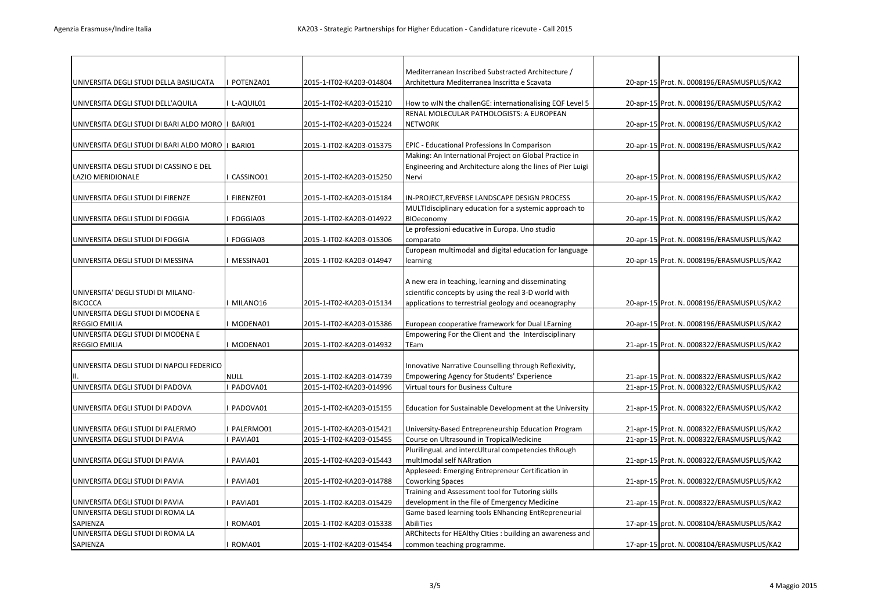|                                              |             |                          | Mediterranean Inscribed Substracted Architecture /         |                                            |
|----------------------------------------------|-------------|--------------------------|------------------------------------------------------------|--------------------------------------------|
| UNIVERSITA DEGLI STUDI DELLA BASILICATA      | POTENZA01   | 2015-1-IT02-KA203-014804 | Architettura Mediterranea Inscritta e Scavata              | 20-apr-15 Prot. N. 0008196/ERASMUSPLUS/KA2 |
|                                              |             |                          |                                                            |                                            |
| UNIVERSITA DEGLI STUDI DELL'AQUILA           | I L-AQUIL01 | 2015-1-IT02-KA203-015210 | How to wIN the challenGE: internationalising EQF Level 5   | 20-apr-15 Prot. N. 0008196/ERASMUSPLUS/KA2 |
|                                              |             |                          | RENAL MOLECULAR PATHOLOGISTS: A EUROPEAN                   |                                            |
| UNIVERSITA DEGLI STUDI DI BARI ALDO MORO     | BARI01      | 2015-1-IT02-KA203-015224 | <b>NETWORK</b>                                             | 20-apr-15 Prot. N. 0008196/ERASMUSPLUS/KA2 |
|                                              |             |                          |                                                            |                                            |
| UNIVERSITA DEGLI STUDI DI BARI ALDO MORO   I | BARI01      | 2015-1-IT02-KA203-015375 | EPIC - Educational Professions In Comparison               | 20-apr-15 Prot. N. 0008196/ERASMUSPLUS/KA2 |
|                                              |             |                          | Making: An International Project on Global Practice in     |                                            |
| UNIVERSITA DEGLI STUDI DI CASSINO E DEL      |             |                          | Engineering and Architecture along the lines of Pier Luigi |                                            |
| LAZIO MERIDIONALE                            | CASSINO01   | 2015-1-IT02-KA203-015250 | Nervi                                                      | 20-apr-15 Prot. N. 0008196/ERASMUSPLUS/KA2 |
|                                              |             |                          |                                                            |                                            |
| UNIVERSITA DEGLI STUDI DI FIRENZE            | FIRENZE01   | 2015-1-IT02-KA203-015184 | IN-PROJECT, REVERSE LANDSCAPE DESIGN PROCESS               | 20-apr-15 Prot. N. 0008196/ERASMUSPLUS/KA2 |
|                                              |             |                          | MULTIdisciplinary education for a systemic approach to     |                                            |
| UNIVERSITA DEGLI STUDI DI FOGGIA             | FOGGIA03    | 2015-1-IT02-KA203-014922 | BIOeconomy                                                 |                                            |
|                                              |             |                          | Le professioni educative in Europa. Uno studio             | 20-apr-15 Prot. N. 0008196/ERASMUSPLUS/KA2 |
| UNIVERSITA DEGLI STUDI DI FOGGIA             | FOGGIA03    |                          | comparato                                                  |                                            |
|                                              |             | 2015-1-IT02-KA203-015306 | European multimodal and digital education for language     | 20-apr-15 Prot. N. 0008196/ERASMUSPLUS/KA2 |
|                                              |             |                          |                                                            |                                            |
| UNIVERSITA DEGLI STUDI DI MESSINA            | MESSINA01   | 2015-1-IT02-KA203-014947 | learning                                                   | 20-apr-15 Prot. N. 0008196/ERASMUSPLUS/KA2 |
|                                              |             |                          |                                                            |                                            |
|                                              |             |                          | A new era in teaching, learning and disseminating          |                                            |
| UNIVERSITA' DEGLI STUDI DI MILANO-           |             |                          | scientific concepts by using the real 3-D world with       |                                            |
| <b>BICOCCA</b>                               | MILANO16    | 2015-1-IT02-KA203-015134 | applications to terrestrial geology and oceanography       | 20-apr-15 Prot. N. 0008196/ERASMUSPLUS/KA2 |
| UNIVERSITA DEGLI STUDI DI MODENA E           |             |                          |                                                            |                                            |
| <b>REGGIO EMILIA</b>                         | MODENA01    | 2015-1-IT02-KA203-015386 | European cooperative framework for Dual LEarning           | 20-apr-15 Prot. N. 0008196/ERASMUSPLUS/KA2 |
| UNIVERSITA DEGLI STUDI DI MODENA E           |             |                          | Empowering For the Client and the Interdisciplinary        |                                            |
| <b>REGGIO EMILIA</b>                         | MODENA01    | 2015-1-IT02-KA203-014932 | TEam                                                       | 21-apr-15 Prot. N. 0008322/ERASMUSPLUS/KA2 |
|                                              |             |                          |                                                            |                                            |
| UNIVERSITA DEGLI STUDI DI NAPOLI FEDERICO    |             |                          | Innovative Narrative Counselling through Reflexivity,      |                                            |
|                                              | <b>NULL</b> | 2015-1-IT02-KA203-014739 | Empowering Agency for Students' Experience                 | 21-apr-15 Prot. N. 0008322/ERASMUSPLUS/KA2 |
| UNIVERSITA DEGLI STUDI DI PADOVA             | PADOVA01    | 2015-1-IT02-KA203-014996 | Virtual tours for Business Culture                         | 21-apr-15 Prot. N. 0008322/ERASMUSPLUS/KA2 |
|                                              |             |                          |                                                            |                                            |
| UNIVERSITA DEGLI STUDI DI PADOVA             | PADOVA01    | 2015-1-IT02-KA203-015155 | Education for Sustainable Development at the University    | 21-apr-15 Prot. N. 0008322/ERASMUSPLUS/KA2 |
|                                              |             |                          |                                                            |                                            |
| UNIVERSITA DEGLI STUDI DI PALERMO            | PALERMO01   | 2015-1-IT02-KA203-015421 | University-Based Entrepreneurship Education Program        | 21-apr-15 Prot. N. 0008322/ERASMUSPLUS/KA2 |
| UNIVERSITA DEGLI STUDI DI PAVIA              | PAVIA01     | 2015-1-IT02-KA203-015455 | Course on Ultrasound in TropicalMedicine                   | 21-apr-15 Prot. N. 0008322/ERASMUSPLUS/KA2 |
|                                              |             |                          | PlurilinguaL and intercUltural competencies thRough        |                                            |
| UNIVERSITA DEGLI STUDI DI PAVIA              | PAVIA01     | 2015-1-IT02-KA203-015443 | multImodal self NARration                                  | 21-apr-15 Prot. N. 0008322/ERASMUSPLUS/KA2 |
|                                              |             |                          | Appleseed: Emerging Entrepreneur Certification in          |                                            |
| UNIVERSITA DEGLI STUDI DI PAVIA              | PAVIA01     | 2015-1-IT02-KA203-014788 | <b>Coworking Spaces</b>                                    | 21-apr-15 Prot. N. 0008322/ERASMUSPLUS/KA2 |
|                                              |             |                          | Training and Assessment tool for Tutoring skills           |                                            |
| UNIVERSITA DEGLI STUDI DI PAVIA              | PAVIA01     | 2015-1-IT02-KA203-015429 | development in the file of Emergency Medicine              | 21-apr-15 Prot. N. 0008322/ERASMUSPLUS/KA2 |
| UNIVERSITA DEGLI STUDI DI ROMA LA            |             |                          | Game based learning tools ENhancing EntRepreneurial        |                                            |
| SAPIENZA                                     | ROMA01      | 2015-1-IT02-KA203-015338 | AbiliTies                                                  | 17-apr-15 prot. N. 0008104/ERASMUSPLUS/KA2 |
| UNIVERSITA DEGLI STUDI DI ROMA LA            |             |                          | ARChitects for HEAlthy Cities : building an awareness and  |                                            |
| SAPIENZA                                     | I ROMA01    | 2015-1-IT02-KA203-015454 | common teaching programme.                                 | 17-apr-15 prot. N. 0008104/ERASMUSPLUS/KA2 |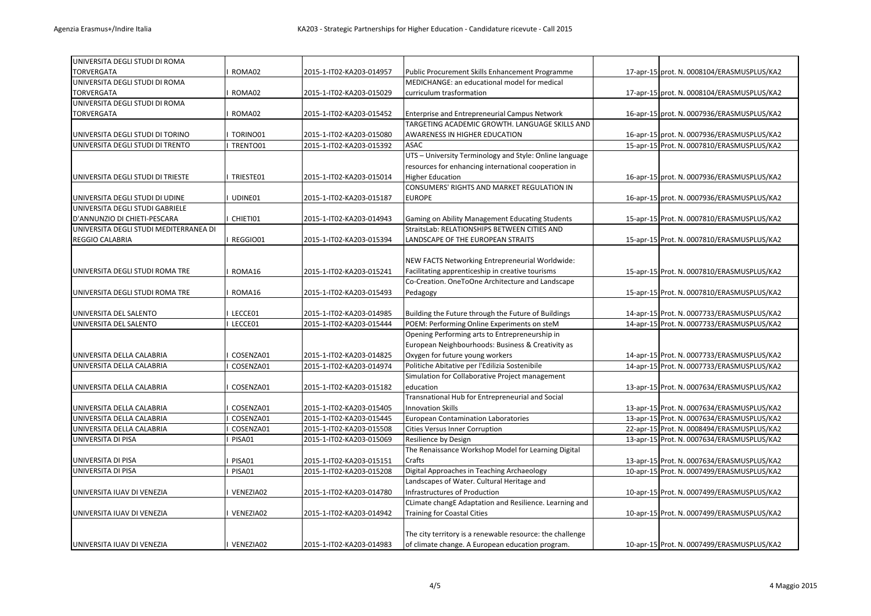| UNIVERSITA DEGLI STUDI DI ROMA         |             |                          |                                                           |                                            |
|----------------------------------------|-------------|--------------------------|-----------------------------------------------------------|--------------------------------------------|
| <b>TORVERGATA</b>                      | ROMA02      | 2015-1-IT02-KA203-014957 | Public Procurement Skills Enhancement Programme           | 17-apr-15 prot. N. 0008104/ERASMUSPLUS/KA2 |
| UNIVERSITA DEGLI STUDI DI ROMA         |             |                          | MEDICHANGE: an educational model for medical              |                                            |
| <b>TORVERGATA</b>                      | ROMA02      | 2015-1-IT02-KA203-015029 | curriculum trasformation                                  | 17-apr-15 prot. N. 0008104/ERASMUSPLUS/KA2 |
| UNIVERSITA DEGLI STUDI DI ROMA         |             |                          |                                                           |                                            |
| <b>TORVERGATA</b>                      | ROMA02      | 2015-1-IT02-KA203-015452 | Enterprise and Entrepreneurial Campus Network             | 16-apr-15 prot. N. 0007936/ERASMUSPLUS/KA2 |
|                                        |             |                          | TARGETING ACADEMIC GROWTH. LANGUAGE SKILLS AND            |                                            |
| UNIVERSITA DEGLI STUDI DI TORINO       | TORINO01    | 2015-1-IT02-KA203-015080 | <b>AWARENESS IN HIGHER EDUCATION</b>                      | 16-apr-15 prot. N. 0007936/ERASMUSPLUS/KA2 |
| UNIVERSITA DEGLI STUDI DI TRENTO       | TRENTO01    | 2015-1-IT02-KA203-015392 | <b>ASAC</b>                                               | 15-apr-15 Prot. N. 0007810/ERASMUSPLUS/KA2 |
|                                        |             |                          | UTS - University Terminology and Style: Online language   |                                            |
|                                        |             |                          | resources for enhancing international cooperation in      |                                            |
| UNIVERSITA DEGLI STUDI DI TRIESTE      | TRIESTE01   | 2015-1-IT02-KA203-015014 | <b>Higher Education</b>                                   | 16-apr-15 prot. N. 0007936/ERASMUSPLUS/KA2 |
|                                        |             |                          | CONSUMERS' RIGHTS AND MARKET REGULATION IN                |                                            |
| UNIVERSITA DEGLI STUDI DI UDINE        | UDINE01     | 2015-1-IT02-KA203-015187 | <b>EUROPE</b>                                             | 16-apr-15 prot. N. 0007936/ERASMUSPLUS/KA2 |
| UNIVERSITA DEGLI STUDI GABRIELE        |             |                          |                                                           |                                            |
| D'ANNUNZIO DI CHIETI-PESCARA           | CHIETI01    | 2015-1-IT02-KA203-014943 | Gaming on Ability Management Educating Students           | 15-apr-15 Prot. N. 0007810/ERASMUSPLUS/KA2 |
| UNIVERSITA DEGLI STUDI MEDITERRANEA DI |             |                          | StraitsLab: RELATIONSHIPS BETWEEN CITIES AND              |                                            |
| REGGIO CALABRIA                        | REGGIO01    | 2015-1-IT02-KA203-015394 | LANDSCAPE OF THE EUROPEAN STRAITS                         | 15-apr-15 Prot. N. 0007810/ERASMUSPLUS/KA2 |
|                                        |             |                          |                                                           |                                            |
|                                        |             |                          | NEW FACTS Networking Entrepreneurial Worldwide:           |                                            |
| UNIVERSITA DEGLI STUDI ROMA TRE        | ROMA16      | 2015-1-IT02-KA203-015241 | Facilitating apprenticeship in creative tourisms          | 15-apr-15 Prot. N. 0007810/ERASMUSPLUS/KA2 |
|                                        |             |                          | Co-Creation. OneToOne Architecture and Landscape          |                                            |
| UNIVERSITA DEGLI STUDI ROMA TRE        | ROMA16      | 2015-1-IT02-KA203-015493 | Pedagogy                                                  | 15-apr-15 Prot. N. 0007810/ERASMUSPLUS/KA2 |
|                                        |             |                          |                                                           |                                            |
| UNIVERSITA DEL SALENTO                 | LECCE01     | 2015-1-IT02-KA203-014985 | Building the Future through the Future of Buildings       | 14-apr-15 Prot. N. 0007733/ERASMUSPLUS/KA2 |
| UNIVERSITA DEL SALENTO                 | LECCE01     | 2015-1-IT02-KA203-015444 | POEM: Performing Online Experiments on steM               | 14-apr-15 Prot. N. 0007733/ERASMUSPLUS/KA2 |
|                                        |             |                          | Opening Performing arts to Entrepreneurship in            |                                            |
|                                        |             |                          | European Neighbourhoods: Business & Creativity as         |                                            |
| UNIVERSITA DELLA CALABRIA              | COSENZA01   | 2015-1-IT02-KA203-014825 | Oxygen for future young workers                           | 14-apr-15 Prot. N. 0007733/ERASMUSPLUS/KA2 |
| UNIVERSITA DELLA CALABRIA              | COSENZA01   | 2015-1-IT02-KA203-014974 | Politiche Abitative per l'Edilizia Sostenibile            | 14-apr-15 Prot. N. 0007733/ERASMUSPLUS/KA2 |
|                                        |             |                          | Simulation for Collaborative Project management           |                                            |
| UNIVERSITA DELLA CALABRIA              | COSENZA01   | 2015-1-IT02-KA203-015182 | education                                                 | 13-apr-15 Prot. N. 0007634/ERASMUSPLUS/KA2 |
|                                        |             |                          | Transnational Hub for Entrepreneurial and Social          |                                            |
| UNIVERSITA DELLA CALABRIA              | COSENZA01   | 2015-1-IT02-KA203-015405 | <b>Innovation Skills</b>                                  | 13-apr-15 Prot. N. 0007634/ERASMUSPLUS/KA2 |
| UNIVERSITA DELLA CALABRIA              | COSENZA01   | 2015-1-IT02-KA203-015445 | <b>European Contamination Laboratories</b>                | 13-apr-15 Prot. N. 0007634/ERASMUSPLUS/KA2 |
| UNIVERSITA DELLA CALABRIA              | COSENZA01   | 2015-1-IT02-KA203-015508 | <b>Cities Versus Inner Corruption</b>                     | 22-apr-15 Prot. N. 0008494/ERASMUSPLUS/KA2 |
| UNIVERSITA DI PISA                     | PISA01      | 2015-1-IT02-KA203-015069 | Resilience by Design                                      | 13-apr-15 Prot. N. 0007634/ERASMUSPLUS/KA2 |
|                                        |             |                          | The Renaissance Workshop Model for Learning Digital       |                                            |
| UNIVERSITA DI PISA                     | PISA01      | 2015-1-IT02-KA203-015151 | Crafts                                                    | 13-apr-15 Prot. N. 0007634/ERASMUSPLUS/KA2 |
| UNIVERSITA DI PISA                     | PISA01      | 2015-1-IT02-KA203-015208 | Digital Approaches in Teaching Archaeology                | 10-apr-15 Prot. N. 0007499/ERASMUSPLUS/KA2 |
|                                        |             |                          | Landscapes of Water. Cultural Heritage and                |                                            |
| UNIVERSITA IUAV DI VENEZIA             | VENEZIA02   | 2015-1-IT02-KA203-014780 | Infrastructures of Production                             | 10-apr-15 Prot. N. 0007499/ERASMUSPLUS/KA2 |
|                                        |             |                          | CLimate changE Adaptation and Resilience. Learning and    |                                            |
| UNIVERSITA IUAV DI VENEZIA             | VENEZIA02   | 2015-1-IT02-KA203-014942 | <b>Training for Coastal Cities</b>                        | 10-apr-15 Prot. N. 0007499/ERASMUSPLUS/KA2 |
|                                        |             |                          |                                                           |                                            |
|                                        |             |                          | The city territory is a renewable resource: the challenge |                                            |
| UNIVERSITA IUAV DI VENEZIA             | I VENEZIA02 | 2015-1-IT02-KA203-014983 | of climate change. A European education program.          | 10-apr-15 Prot. N. 0007499/ERASMUSPLUS/KA2 |